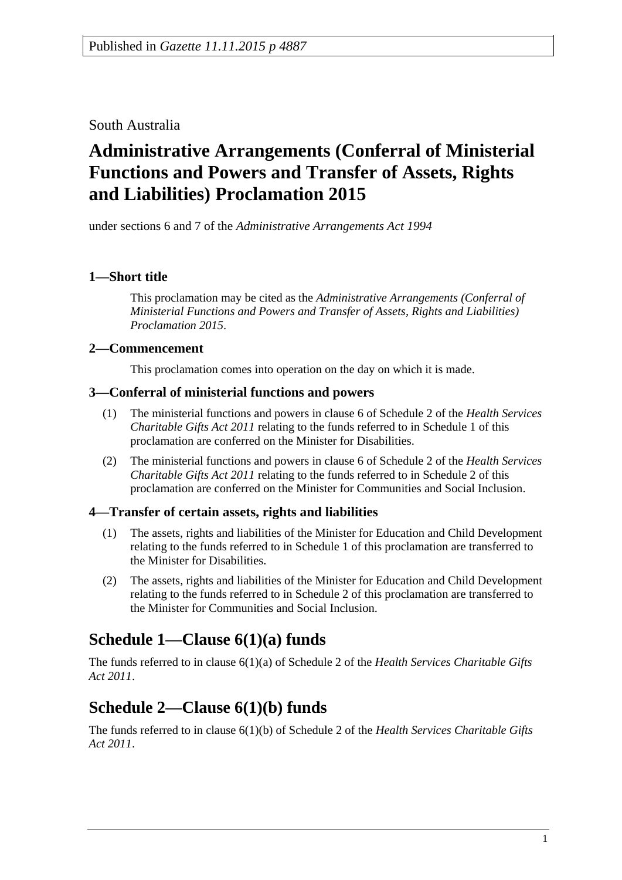South Australia

# **Administrative Arrangements (Conferral of Ministerial Functions and Powers and Transfer of Assets, Rights and Liabilities) Proclamation 2015**

under sections 6 and 7 of the *Administrative Arrangements Act 1994*

### **1—Short title**

This proclamation may be cited as the *Administrative Arrangements (Conferral of Ministerial Functions and Powers and Transfer of Assets, Rights and Liabilities) Proclamation 2015*.

### **2—Commencement**

This proclamation comes into operation on the day on which it is made.

#### **3—Conferral of ministerial functions and powers**

- (1) The ministerial functions and powers in clause 6 of Schedule 2 of the *[Health Services](http://www.legislation.sa.gov.au/index.aspx?action=legref&type=act&legtitle=Health%20Services%20Charitable%20Gifts%20Act%202011)  [Charitable Gifts Act](http://www.legislation.sa.gov.au/index.aspx?action=legref&type=act&legtitle=Health%20Services%20Charitable%20Gifts%20Act%202011) 2011* relating to the funds referred to in Schedule 1 of this proclamation are conferred on the Minister for Disabilities.
- (2) The ministerial functions and powers in clause 6 of Schedule 2 of the *[Health Services](http://www.legislation.sa.gov.au/index.aspx?action=legref&type=act&legtitle=Health%20Services%20Charitable%20Gifts%20Act%202011)  [Charitable Gifts Act](http://www.legislation.sa.gov.au/index.aspx?action=legref&type=act&legtitle=Health%20Services%20Charitable%20Gifts%20Act%202011) 2011* relating to the funds referred to in Schedule 2 of this proclamation are conferred on the Minister for Communities and Social Inclusion.

#### **4—Transfer of certain assets, rights and liabilities**

- (1) The assets, rights and liabilities of the Minister for Education and Child Development relating to the funds referred to in Schedule 1 of this proclamation are transferred to the Minister for Disabilities.
- (2) The assets, rights and liabilities of the Minister for Education and Child Development relating to the funds referred to in Schedule 2 of this proclamation are transferred to the Minister for Communities and Social Inclusion.

# **Schedule 1—Clause 6(1)(a) funds**

The funds referred to in clause 6(1)(a) of Schedule 2 of the *[Health Services Charitable Gifts](http://www.legislation.sa.gov.au/index.aspx?action=legref&type=act&legtitle=Health%20Services%20Charitable%20Gifts%20Act%202011)  Act [2011](http://www.legislation.sa.gov.au/index.aspx?action=legref&type=act&legtitle=Health%20Services%20Charitable%20Gifts%20Act%202011)*.

# **Schedule 2—Clause 6(1)(b) funds**

The funds referred to in clause 6(1)(b) of Schedule 2 of the *[Health Services Charitable Gifts](http://www.legislation.sa.gov.au/index.aspx?action=legref&type=act&legtitle=Health%20Services%20Charitable%20Gifts%20Act%202011)  Act [2011](http://www.legislation.sa.gov.au/index.aspx?action=legref&type=act&legtitle=Health%20Services%20Charitable%20Gifts%20Act%202011)*.